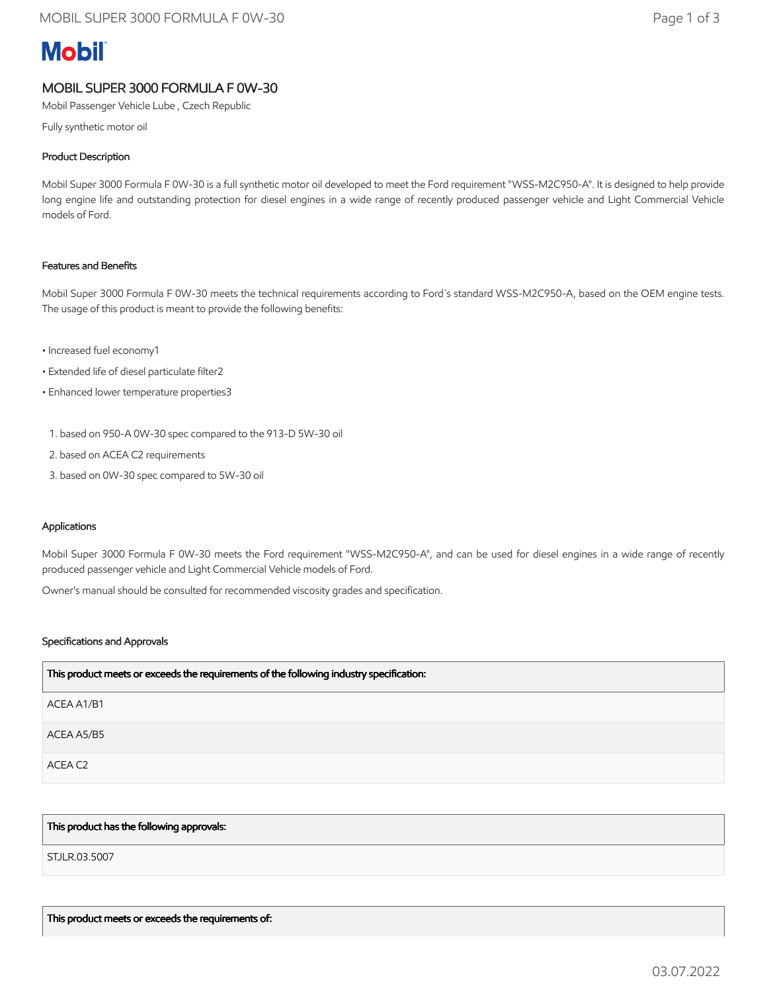# **Mobil**

## MOBIL SUPER 3000 FORMULA F 0W-30

Mobil Passenger Vehicle Lube , Czech Republic

Fully synthetic motor oil

### Product Description

Mobil Super 3000 Formula F 0W-30 is a full synthetic motor oil developed to meet the Ford requirement "WSS-M2C950-A". It is designed to help provide long engine life and outstanding protection for diesel engines in a wide range of recently produced passenger vehicle and Light Commercial Vehicle models of Ford.

#### Features and Benefits

Mobil Super 3000 Formula F 0W-30 meets the technical requirements according to Ford´s standard WSS-M2C950-A, based on the OEM engine tests. The usage of this product is meant to provide the following benefits:

- Increased fuel economy1
- Extended life of diesel particulate filter2
- Enhanced lower temperature properties3
	- 1. based on 950-A 0W-30 spec compared to the 913-D 5W-30 oil
- 2. based on ACEA C2 requirements
- 3. based on 0W-30 spec compared to 5W-30 oil

#### Applications

Mobil Super 3000 Formula F 0W-30 meets the Ford requirement "WSS-M2C950-A", and can be used for diesel engines in a wide range of recently produced passenger vehicle and Light Commercial Vehicle models of Ford.

Owner's manual should be consulted for recommended viscosity grades and specification.

#### Specifications and Approvals

| This product meets or exceeds the requirements of the following industry specification: |
|-----------------------------------------------------------------------------------------|
| ACEA A1/B1                                                                              |
| ACEA A5/B5                                                                              |
| ACEA C2                                                                                 |

#### This product has the following approvals:

STJLR.03.5007

This product meets or exceeds the requirements of: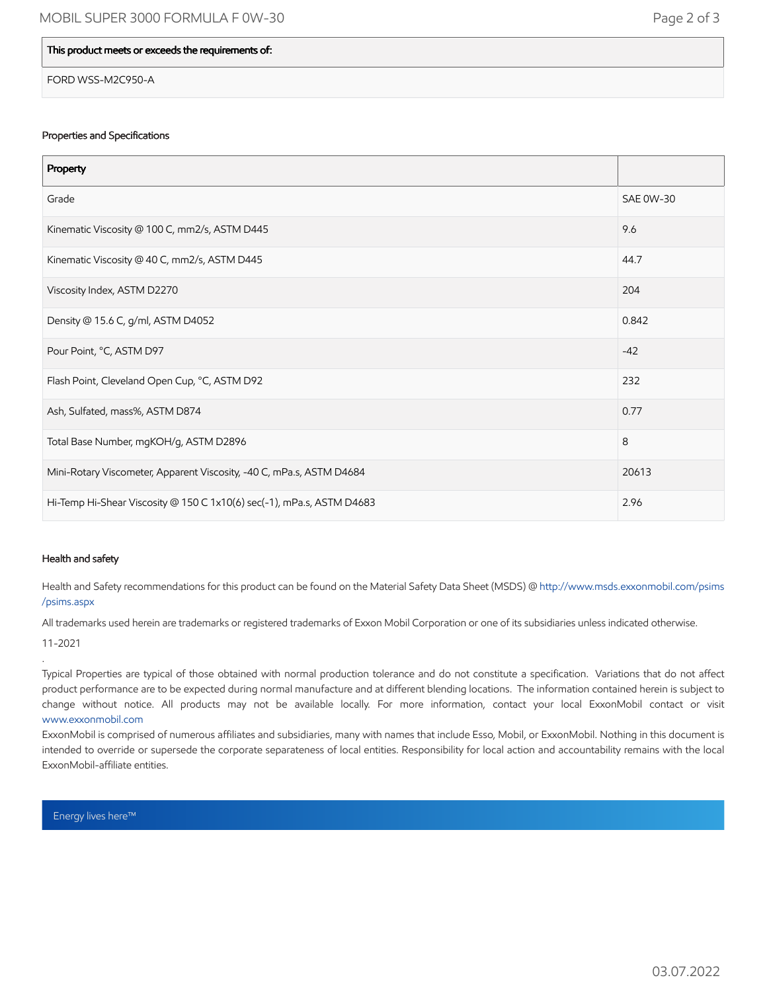#### This product meets or exceeds the requirements of:

FORD WSS-M2C950-A

#### Properties and Specifications

| Property                                                              |                  |
|-----------------------------------------------------------------------|------------------|
| Grade                                                                 | <b>SAE 0W-30</b> |
| Kinematic Viscosity @ 100 C, mm2/s, ASTM D445                         | 9.6              |
| Kinematic Viscosity @ 40 C, mm2/s, ASTM D445                          | 44.7             |
| Viscosity Index, ASTM D2270                                           | 204              |
| Density @ 15.6 C, g/ml, ASTM D4052                                    | 0.842            |
| Pour Point, °C, ASTM D97                                              | $-42$            |
| Flash Point, Cleveland Open Cup, °C, ASTM D92                         | 232              |
| Ash, Sulfated, mass%, ASTM D874                                       | 0.77             |
| Total Base Number, mgKOH/g, ASTM D2896                                | 8                |
| Mini-Rotary Viscometer, Apparent Viscosity, -40 C, mPa.s, ASTM D4684  | 20613            |
| Hi-Temp Hi-Shear Viscosity @ 150 C 1x10(6) sec(-1), mPa.s, ASTM D4683 | 2.96             |

#### Health and safety

Health and Safety recommendations for this product can be found on the Material Safety Data Sheet (MSDS) @ [http://www.msds.exxonmobil.com/psims](http://www.msds.exxonmobil.com/psims/psims.aspx) /psims.aspx

All trademarks used herein are trademarks or registered trademarks of Exxon Mobil Corporation or one of its subsidiaries unless indicated otherwise.

11-2021

.

Typical Properties are typical of those obtained with normal production tolerance and do not constitute a specification. Variations that do not affect product performance are to be expected during normal manufacture and at different blending locations. The information contained herein is subject to change without notice. All products may not be available locally. For more information, contact your local ExxonMobil contact or visit [www.exxonmobil.com](http://www.exxonmobil.com/)

ExxonMobil is comprised of numerous affiliates and subsidiaries, many with names that include Esso, Mobil, or ExxonMobil. Nothing in this document is intended to override or supersede the corporate separateness of local entities. Responsibility for local action and accountability remains with the local ExxonMobil-affiliate entities.

Energy lives here™